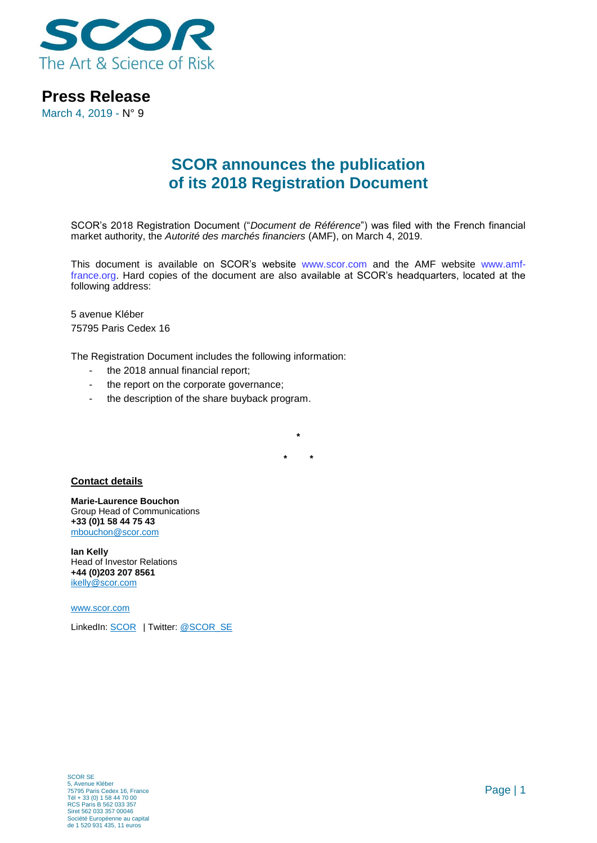

**Press Release**

March 4, 2019 - N° 9

## **SCOR announces the publication of its 2018 Registration Document**

SCOR's 2018 Registration Document ("*Document de Référence*") was filed with the French financial market authority, the *Autorité des marchés financiers* (AMF), on March 4, 2019.

This document is available on SCOR's website [www.scor.com](http://www.scor.com/) and the AMF website [www.amf](http://www.amf-france.org/)[france.org.](http://www.amf-france.org/) Hard copies of the document are also available at SCOR's headquarters, located at the following address:

5 avenue Kléber 75795 Paris Cedex 16

The Registration Document includes the following information:

- the 2018 annual financial report:
- the report on the corporate governance;
- the description of the share buyback program.

**\* \***

**\***

## **Contact details**

**Marie-Laurence Bouchon** Group Head of Communications **+33 (0)1 58 44 75 43** [mbouchon@scor.com](mailto:mbouchon@scor.com)

**Ian Kelly** Head of Investor Relations **+44 (0)203 207 8561** [ikelly@scor.com](mailto:ikelly@scor.com)

[www.scor.com](http://www.scor.com/en/)

LinkedIn: [SCOR](https://www.linkedin.com/company/11543) | Twitter[: @SCOR\\_SE](https://twitter.com/SCOR_SE)